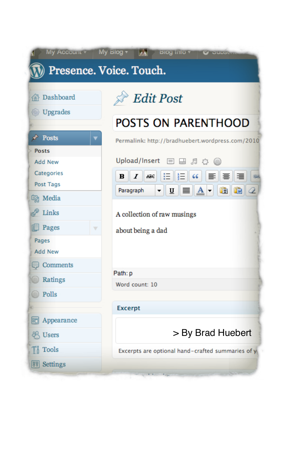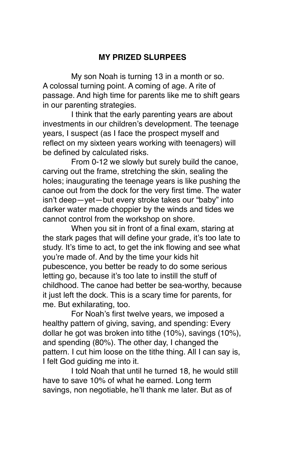## **MY PRIZED SLURPEES**

My son Noah is turning 13 in a month or so. A colossal turning point. A coming of age. A rite of passage. And high time for parents like me to shift gears in our parenting strategies.

I think that the early parenting years are about investments in our children's development. The teenage years, I suspect (as I face the prospect myself and reflect on my sixteen years working with teenagers) will be defined by calculated risks.

From 0-12 we slowly but surely build the canoe, carving out the frame, stretching the skin, sealing the holes; inaugurating the teenage years is like pushing the canoe out from the dock for the very first time. The water isn't deep—yet—but every stroke takes our "baby" into darker water made choppier by the winds and tides we cannot control from the workshop on shore.

When you sit in front of a final exam, staring at the stark pages that will define your grade, it's too late to study. It's time to act, to get the ink flowing and see what you're made of. And by the time your kids hit pubescence, you better be ready to do some serious letting go, because it's too late to instill the stuff of childhood. The canoe had better be sea-worthy, because it just left the dock. This is a scary time for parents, for me. But exhilarating, too.

For Noah's first twelve years, we imposed a healthy pattern of giving, saving, and spending: Every dollar he got was broken into tithe (10%), savings (10%), and spending (80%). The other day, I changed the pattern. I cut him loose on the tithe thing. All I can say is, I felt God guiding me into it.

I told Noah that until he turned 18, he would still have to save 10% of what he earned. Long term savings, non negotiable, he'll thank me later. But as of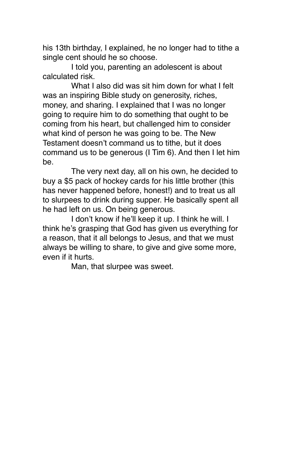his 13th birthday, I explained, he no longer had to tithe a single cent should he so choose.

I told you, parenting an adolescent is about calculated risk.

What I also did was sit him down for what I felt was an inspiring Bible study on generosity, riches, money, and sharing. I explained that I was no longer going to require him to do something that ought to be coming from his heart, but challenged him to consider what kind of person he was going to be. The New Testament doesn't command us to tithe, but it does command us to be generous (I Tim 6). And then I let him be.

The very next day, all on his own, he decided to buy a \$5 pack of hockey cards for his little brother (this has never happened before, honest!) and to treat us all to slurpees to drink during supper. He basically spent all he had left on us. On being generous.

I don't know if he'll keep it up. I think he will. I think he's grasping that God has given us everything for a reason, that it all belongs to Jesus, and that we must always be willing to share, to give and give some more, even if it hurts.

Man, that slurpee was sweet.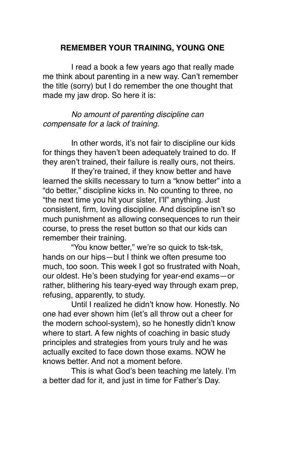### **REMEMBER YOUR TRAINING, YOUNG ONE**

I read a book a few years ago that really made me think about parenting in a new way. Can't remember the title (sorry) but I do remember the one thought that made my jaw drop. So here it is:

*No amount of parenting discipline can compensate for a lack of training.*

In other words, it's not fair to discipline our kids for things they haven't been adequately trained to do. If they aren't trained, their failure is really ours, not theirs.

If they're trained, if they know better and have learned the skills necessary to turn a "know better" into a "do better," discipline kicks in. No counting to three, no "the next time you hit your sister, I'll" anything. Just consistent, firm, loving discipline. And discipline isn't so much punishment as allowing consequences to run their course, to press the reset button so that our kids can remember their training.

"You know better," we're so quick to tsk-tsk, hands on our hips—but I think we often presume too much, too soon. This week I got so frustrated with Noah, our oldest. He's been studying for year-end exams—or rather, blithering his teary-eyed way through exam prep, refusing, apparently, to study.

Until I realized he didn't know how. Honestly. No one had ever shown him (let's all throw out a cheer for the modern school-system), so he honestly didn't know where to start. A few nights of coaching in basic study principles and strategies from yours truly and he was actually excited to face down those exams. NOW he knows better. And not a moment before.

This is what God's been teaching me lately. I'm a better dad for it, and just in time for Father's Day.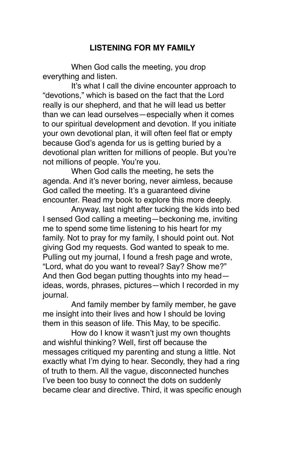## **LISTENING FOR MY FAMILY**

When God calls the meeting, you drop everything and listen.

It's what I call the divine encounter approach to "devotions," which is based on the fact that the Lord really is our shepherd, and that he will lead us better than we can lead ourselves—especially when it comes to our spiritual development and devotion. If you initiate your own devotional plan, it will often feel flat or empty because God's agenda for us is getting buried by a devotional plan written for millions of people. But you're not millions of people. You're you.

When God calls the meeting, he sets the agenda. And it's never boring, never aimless, because God called the meeting. It's a guaranteed divine encounter. Read my book to explore this more deeply.

Anyway, last night after tucking the kids into bed I sensed God calling a meeting—beckoning me, inviting me to spend some time listening to his heart for my family. Not to pray for my family, I should point out. Not giving God my requests. God wanted to speak to me. Pulling out my journal, I found a fresh page and wrote, "Lord, what do you want to reveal? Say? Show me?" And then God began putting thoughts into my head ideas, words, phrases, pictures—which I recorded in my journal.

And family member by family member, he gave me insight into their lives and how I should be loving them in this season of life. This May, to be specific.

How do I know it wasn't just my own thoughts and wishful thinking? Well, first off because the messages critiqued my parenting and stung a little. Not exactly what I'm dying to hear. Secondly, they had a ring of truth to them. All the vague, disconnected hunches I've been too busy to connect the dots on suddenly became clear and directive. Third, it was specific enough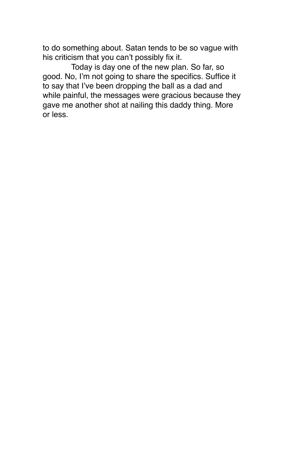to do something about. Satan tends to be so vague with his criticism that you can't possibly fix it.

Today is day one of the new plan. So far, so good. No, I'm not going to share the specifics. Suffice it to say that I've been dropping the ball as a dad and while painful, the messages were gracious because they gave me another shot at nailing this daddy thing. More or less.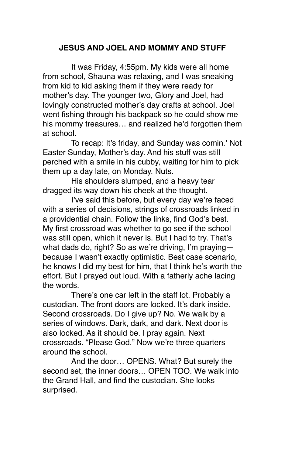# **JESUS AND JOEL AND MOMMY AND STUFF**

It was Friday, 4:55pm. My kids were all home from school, Shauna was relaxing, and I was sneaking from kid to kid asking them if they were ready for mother's day. The younger two, Glory and Joel, had lovingly constructed mother's day crafts at school. Joel went fishing through his backpack so he could show me his mommy treasures… and realized he'd forgotten them at school.

To recap: It's friday, and Sunday was comin.' Not Easter Sunday, Mother's day. And his stuff was still perched with a smile in his cubby, waiting for him to pick them up a day late, on Monday. Nuts.

His shoulders slumped, and a heavy tear dragged its way down his cheek at the thought.

I've said this before, but every day we're faced with a series of decisions, strings of crossroads linked in a providential chain. Follow the links, find God's best. My first crossroad was whether to go see if the school was still open, which it never is. But I had to try. That's what dads do, right? So as we're driving, I'm praying because I wasn't exactly optimistic. Best case scenario, he knows I did my best for him, that I think he's worth the effort. But I prayed out loud. With a fatherly ache lacing the words.

There's one car left in the staff lot. Probably a custodian. The front doors are locked. It's dark inside. Second crossroads. Do I give up? No. We walk by a series of windows. Dark, dark, and dark. Next door is also locked. As it should be. I pray again. Next crossroads. "Please God." Now we're three quarters around the school.

And the door… OPENS. What? But surely the second set, the inner doors… OPEN TOO. We walk into the Grand Hall, and find the custodian. She looks surprised.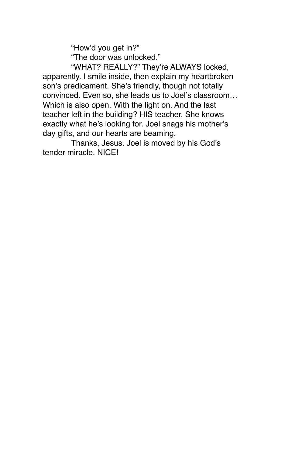"How'd you get in?"

"The door was unlocked."

"WHAT? REALLY?" They're ALWAYS locked, apparently. I smile inside, then explain my heartbroken son's predicament. She's friendly, though not totally convinced. Even so, she leads us to Joel's classroom… Which is also open. With the light on. And the last teacher left in the building? HIS teacher. She knows exactly what he's looking for. Joel snags his mother's day gifts, and our hearts are beaming.

Thanks, Jesus. Joel is moved by his God's tender miracle. NICE!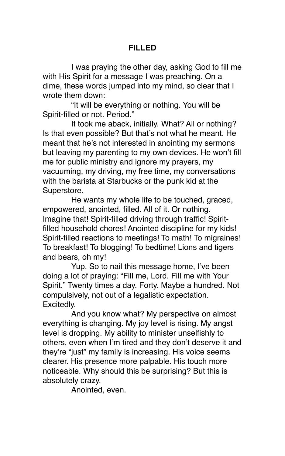### **FILLED**

I was praying the other day, asking God to fill me with His Spirit for a message I was preaching. On a dime, these words jumped into my mind, so clear that I wrote them down:

"It will be everything or nothing. You will be Spirit-filled or not. Period."

It took me aback, initially. What? All or nothing? Is that even possible? But that's not what he meant. He meant that he's not interested in anointing my sermons but leaving my parenting to my own devices. He won't fill me for public ministry and ignore my prayers, my vacuuming, my driving, my free time, my conversations with the barista at Starbucks or the punk kid at the Superstore.

He wants my whole life to be touched, graced, empowered, anointed, filled. All of it. Or nothing. Imagine that! Spirit-filled driving through traffic! Spiritfilled household chores! Anointed discipline for my kids! Spirit-filled reactions to meetings! To math! To migraines! To breakfast! To blogging! To bedtime! Lions and tigers and bears, oh my!

Yup. So to nail this message home, I've been doing a lot of praying: "Fill me, Lord. Fill me with Your Spirit." Twenty times a day. Forty. Maybe a hundred. Not compulsively, not out of a legalistic expectation. Excitedly.

And you know what? My perspective on almost everything is changing. My joy level is rising. My angst level is dropping. My ability to minister unselfishly to others, even when I'm tired and they don't deserve it and they're "just" my family is increasing. His voice seems clearer. His presence more palpable. His touch more noticeable. Why should this be surprising? But this is absolutely crazy.

Anointed, even.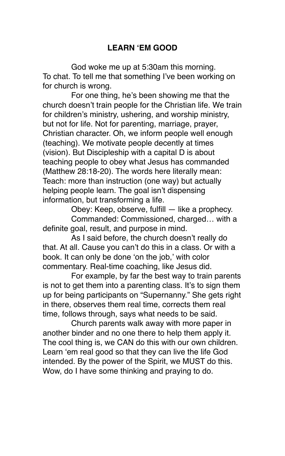# **LEARN ʻEM GOOD**

God woke me up at 5:30am this morning. To chat. To tell me that something I've been working on for church is wrong.

For one thing, he's been showing me that the church doesn't train people for the Christian life. We train for children's ministry, ushering, and worship ministry, but not for life. Not for parenting, marriage, prayer, Christian character. Oh, we inform people well enough (teaching). We motivate people decently at times (vision). But Discipleship with a capital D is about teaching people to obey what Jesus has commanded (Matthew 28:18-20). The words here literally mean: Teach: more than instruction (one way) but actually helping people learn. The goal isn't dispensing information, but transforming a life.

Obey: Keep, observe, fulfill — like a prophecy.

Commanded: Commissioned, charged… with a definite goal, result, and purpose in mind.

As I said before, the church doesn't really do that. At all. Cause you can't do this in a class. Or with a book. It can only be done ʻon the job,' with color commentary. Real-time coaching, like Jesus did.

For example, by far the best way to train parents is not to get them into a parenting class. It's to sign them up for being participants on "Supernanny." She gets right in there, observes them real time, corrects them real time, follows through, says what needs to be said.

Church parents walk away with more paper in another binder and no one there to help them apply it. The cool thing is, we CAN do this with our own children. Learn ʻem real good so that they can live the life God intended. By the power of the Spirit, we MUST do this. Wow, do I have some thinking and praying to do.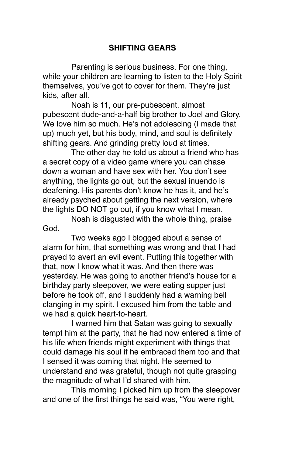# **SHIFTING GEARS**

Parenting is serious business. For one thing, while your children are learning to listen to the Holy Spirit themselves, you've got to cover for them. They're just kids, after all.

Noah is 11, our pre-pubescent, almost pubescent dude-and-a-half big brother to Joel and Glory. We love him so much. He's not adolescing (I made that up) much yet, but his body, mind, and soul is definitely shifting gears. And grinding pretty loud at times.

The other day he told us about a friend who has a secret copy of a video game where you can chase down a woman and have sex with her. You don't see anything, the lights go out, but the sexual inuendo is deafening. His parents don't know he has it, and he's already psyched about getting the next version, where the lights DO NOT go out, if you know what I mean.

Noah is disgusted with the whole thing, praise God.

Two weeks ago I blogged about a sense of alarm for him, that something was wrong and that I had prayed to avert an evil event. Putting this together with that, now I know what it was. And then there was yesterday. He was going to another friend's house for a birthday party sleepover, we were eating supper just before he took off, and I suddenly had a warning bell clanging in my spirit. I excused him from the table and we had a quick heart-to-heart.

I warned him that Satan was going to sexually tempt him at the party, that he had now entered a time of his life when friends might experiment with things that could damage his soul if he embraced them too and that I sensed it was coming that night. He seemed to understand and was grateful, though not quite grasping the magnitude of what I'd shared with him.

This morning I picked him up from the sleepover and one of the first things he said was, "You were right,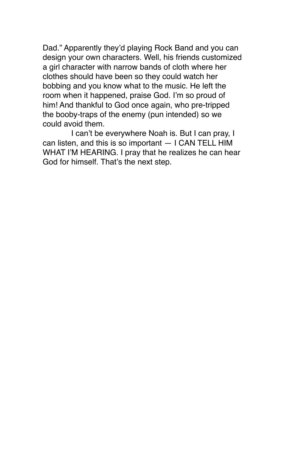Dad." Apparently they'd playing Rock Band and you can design your own characters. Well, his friends customized a girl character with narrow bands of cloth where her clothes should have been so they could watch her bobbing and you know what to the music. He left the room when it happened, praise God. I'm so proud of him! And thankful to God once again, who pre-tripped the booby-traps of the enemy (pun intended) so we could avoid them.

I can't be everywhere Noah is. But I can pray, I can listen, and this is so important — I CAN TELL HIM WHAT I'M HEARING. I pray that he realizes he can hear God for himself. That's the next step.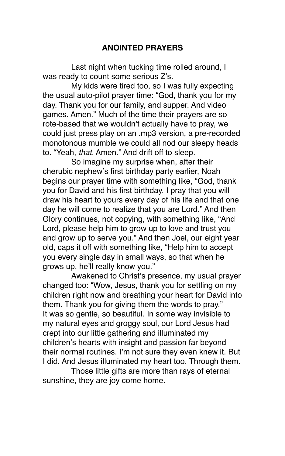## **ANOINTED PRAYERS**

Last night when tucking time rolled around, I was ready to count some serious Z's.

My kids were tired too, so I was fully expecting the usual auto-pilot prayer time: "God, thank you for my day. Thank you for our family, and supper. And video games. Amen." Much of the time their prayers are so rote-based that we wouldn't actually have to pray, we could just press play on an .mp3 version, a pre-recorded monotonous mumble we could all nod our sleepy heads to. "Yeah, *that.* Amen." And drift off to sleep.

So imagine my surprise when, after their cherubic nephew's first birthday party earlier, Noah begins our prayer time with something like, "God, thank you for David and his first birthday. I pray that you will draw his heart to yours every day of his life and that one day he will come to realize that you are Lord." And then Glory continues, not copying, with something like, "And Lord, please help him to grow up to love and trust you and grow up to serve you." And then Joel, our eight year old, caps it off with something like, "Help him to accept you every single day in small ways, so that when he grows up, he'll really know you."

Awakened to Christ's presence, my usual prayer changed too: "Wow, Jesus, thank you for settling on my children right now and breathing your heart for David into them. Thank you for giving them the words to pray." It was so gentle, so beautiful. In some way invisible to my natural eyes and groggy soul, our Lord Jesus had crept into our little gathering and illuminated my children's hearts with insight and passion far beyond their normal routines. I'm not sure they even knew it. But I did. And Jesus illuminated my heart too. Through them.

Those little gifts are more than rays of eternal sunshine, they are joy come home.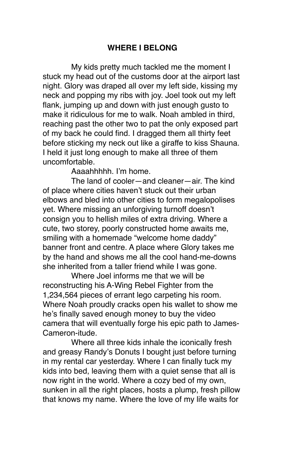### **WHERE I BELONG**

My kids pretty much tackled me the moment I stuck my head out of the customs door at the airport last night. Glory was draped all over my left side, kissing my neck and popping my ribs with joy. Joel took out my left flank, jumping up and down with just enough gusto to make it ridiculous for me to walk. Noah ambled in third, reaching past the other two to pat the only exposed part of my back he could find. I dragged them all thirty feet before sticking my neck out like a giraffe to kiss Shauna. I held it just long enough to make all three of them uncomfortable.

Aaaahhhhh. I'm home.

The land of cooler—and cleaner—air. The kind of place where cities haven't stuck out their urban elbows and bled into other cities to form megalopolises yet. Where missing an unforgiving turnoff doesn't consign you to hellish miles of extra driving. Where a cute, two storey, poorly constructed home awaits me, smiling with a homemade "welcome home daddy" banner front and centre. A place where Glory takes me by the hand and shows me all the cool hand-me-downs she inherited from a taller friend while I was gone.

Where Joel informs me that we will be reconstructing his A-Wing Rebel Fighter from the 1,234,564 pieces of errant lego carpeting his room. Where Noah proudly cracks open his wallet to show me he's finally saved enough money to buy the video camera that will eventually forge his epic path to James-Cameron-itude.

Where all three kids inhale the iconically fresh and greasy Randy's Donuts I bought just before turning in my rental car yesterday. Where I can finally tuck my kids into bed, leaving them with a quiet sense that all is now right in the world. Where a cozy bed of my own, sunken in all the right places, hosts a plump, fresh pillow that knows my name. Where the love of my life waits for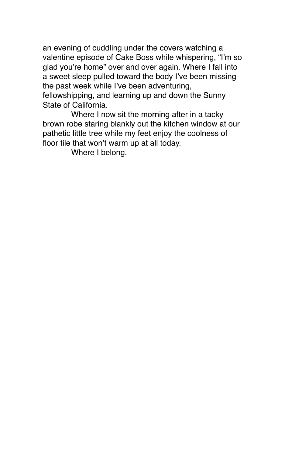an evening of cuddling under the covers watching a valentine episode of Cake Boss while whispering, "I'm so glad you're home" over and over again. Where I fall into a sweet sleep pulled toward the body I've been missing the past week while I've been adventuring, fellowshipping, and learning up and down the Sunny State of California.

Where I now sit the morning after in a tacky brown robe staring blankly out the kitchen window at our pathetic little tree while my feet enjoy the coolness of floor tile that won't warm up at all today.

Where I belong.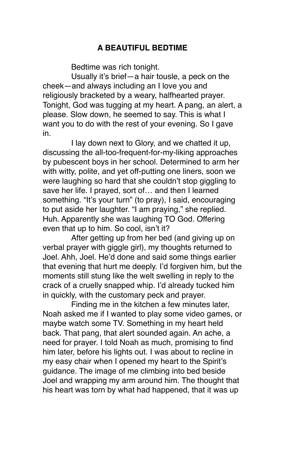# **A BEAUTIFUL BEDTIME**

Bedtime was rich tonight.

Usually it's brief—a hair tousle, a peck on the cheek—and always including an I love you and religiously bracketed by a weary, halfhearted prayer. Tonight, God was tugging at my heart. A pang, an alert, a please. Slow down, he seemed to say. This is what I want you to do with the rest of your evening. So I gave in.

I lay down next to Glory, and we chatted it up, discussing the all-too-frequent-for-my-liking approaches by pubescent boys in her school. Determined to arm her with witty, polite, and yet off-putting one liners, soon we were laughing so hard that she couldn't stop giggling to save her life. I prayed, sort of… and then I learned something. "It's your turn" (to pray), I said, encouraging to put aside her laughter. "I am praying," she replied. Huh. Apparently she was laughing TO God. Offering even that up to him. So cool, isn't it?

After getting up from her bed (and giving up on verbal prayer with giggle girl), my thoughts returned to Joel. Ahh, Joel. He'd done and said some things earlier that evening that hurt me deeply. I'd forgiven him, but the moments still stung like the welt swelling in reply to the crack of a cruelly snapped whip. I'd already tucked him in quickly, with the customary peck and prayer.

Finding me in the kitchen a few minutes later, Noah asked me if I wanted to play some video games, or maybe watch some TV. Something in my heart held back. That pang, that alert sounded again. An ache, a need for prayer. I told Noah as much, promising to find him later, before his lights out. I was about to recline in my easy chair when I opened my heart to the Spirit's guidance. The image of me climbing into bed beside Joel and wrapping my arm around him. The thought that his heart was torn by what had happened, that it was up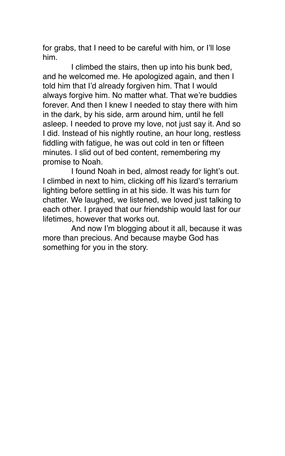for grabs, that I need to be careful with him, or I'll lose him.

I climbed the stairs, then up into his bunk bed, and he welcomed me. He apologized again, and then I told him that I'd already forgiven him. That I would always forgive him. No matter what. That we're buddies forever. And then I knew I needed to stay there with him in the dark, by his side, arm around him, until he fell asleep. I needed to prove my love, not just say it. And so I did. Instead of his nightly routine, an hour long, restless fiddling with fatigue, he was out cold in ten or fifteen minutes. I slid out of bed content, remembering my promise to Noah.

I found Noah in bed, almost ready for light's out. I climbed in next to him, clicking off his lizard's terrarium lighting before settling in at his side. It was his turn for chatter. We laughed, we listened, we loved just talking to each other. I prayed that our friendship would last for our lifetimes, however that works out.

And now I'm blogging about it all, because it was more than precious. And because maybe God has something for you in the story.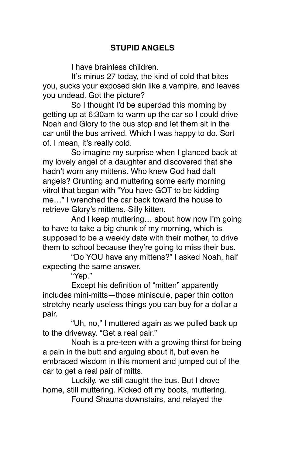# **STUPID ANGELS**

I have brainless children.

It's minus 27 today, the kind of cold that bites you, sucks your exposed skin like a vampire, and leaves you undead. Got the picture?

So I thought I'd be superdad this morning by getting up at 6:30am to warm up the car so I could drive Noah and Glory to the bus stop and let them sit in the car until the bus arrived. Which I was happy to do. Sort of. I mean, it's really cold.

So imagine my surprise when I glanced back at my lovely angel of a daughter and discovered that she hadn't worn any mittens. Who knew God had daft angels? Grunting and muttering some early morning vitrol that began with "You have GOT to be kidding me…" I wrenched the car back toward the house to retrieve Glory's mittens. Silly kitten.

And I keep muttering… about how now I'm going to have to take a big chunk of my morning, which is supposed to be a weekly date with their mother, to drive them to school because they're going to miss their bus.

"Do YOU have any mittens?" I asked Noah, half expecting the same answer.

"Yep."

Except his definition of "mitten" apparently includes mini-mitts—those miniscule, paper thin cotton stretchy nearly useless things you can buy for a dollar a pair.

"Uh, no," I muttered again as we pulled back up to the driveway. "Get a real pair."

Noah is a pre-teen with a growing thirst for being a pain in the butt and arguing about it, but even he embraced wisdom in this moment and jumped out of the car to get a real pair of mitts.

Luckily, we still caught the bus. But I drove home, still muttering. Kicked off my boots, muttering.

Found Shauna downstairs, and relayed the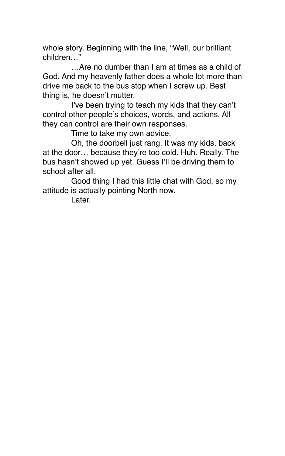whole story. Beginning with the line, "Well, our brilliant children…"

…Are no dumber than I am at times as a child of God. And my heavenly father does a whole lot more than drive me back to the bus stop when I screw up. Best thing is, he doesn't mutter.

I've been trying to teach my kids that they can't control other people's choices, words, and actions. All they can control are their own responses.

Time to take my own advice.

Oh, the doorbell just rang. It was my kids, back at the door… because they're too cold. Huh. Really. The bus hasn't showed up yet. Guess I'll be driving them to school after all

Good thing I had this little chat with God, so my attitude is actually pointing North now.

Later.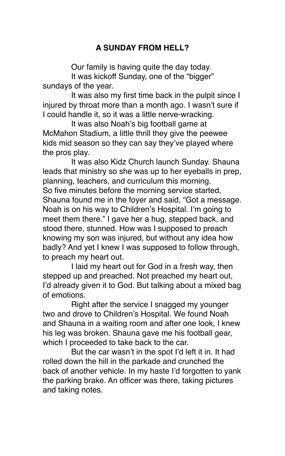# **A SUNDAY FROM HELL?**

Our family is having quite the day today.

It was kickoff Sunday, one of the "bigger" sundays of the year.

It was also my first time back in the pulpit since I injured by throat more than a month ago. I wasn't sure if I could handle it, so it was a little nerve-wracking.

It was also Noah's big football game at McMahon Stadium, a little thrill they give the peewee kids mid season so they can say they've played where the pros play.

It was also Kidz Church launch Sunday. Shauna leads that ministry so she was up to her eyeballs in prep, planning, teachers, and curriculum this morning. So five minutes before the morning service started, Shauna found me in the foyer and said, "Got a message. Noah is on his way to Children's Hospital. I'm going to meet them there." I gave her a hug, stepped back, and stood there, stunned. How was I supposed to preach knowing my son was injured, but without any idea how badly? And yet I knew I was supposed to follow through, to preach my heart out.

I laid my heart out for God in a fresh way, then stepped up and preached. Not preached my heart out, I'd already given it to God. But talking about a mixed bag of emotions.

Right after the service I snagged my younger two and drove to Children's Hospital. We found Noah and Shauna in a waiting room and after one look, I knew his leg was broken. Shauna gave me his football gear, which I proceeded to take back to the car.

But the car wasn't in the spot I'd left it in. It had rolled down the hill in the parkade and crunched the back of another vehicle. In my haste I'd forgotten to yank the parking brake. An officer was there, taking pictures and taking notes.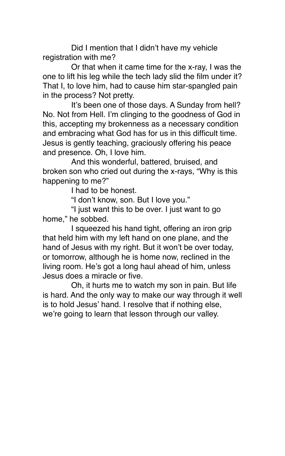Did I mention that I didn't have my vehicle registration with me?

Or that when it came time for the x-ray, I was the one to lift his leg while the tech lady slid the film under it? That I, to love him, had to cause him star-spangled pain in the process? Not pretty.

It's been one of those days. A Sunday from hell? No. Not from Hell. I'm clinging to the goodness of God in this, accepting my brokenness as a necessary condition and embracing what God has for us in this difficult time. Jesus is gently teaching, graciously offering his peace and presence. Oh, I love him.

And this wonderful, battered, bruised, and broken son who cried out during the x-rays, "Why is this happening to me?"

I had to be honest.

"I don't know, son. But I love you."

"I just want this to be over. I just want to go home," he sobbed.

I squeezed his hand tight, offering an iron grip that held him with my left hand on one plane, and the hand of Jesus with my right. But it won't be over today, or tomorrow, although he is home now, reclined in the living room. He's got a long haul ahead of him, unless Jesus does a miracle or five.

Oh, it hurts me to watch my son in pain. But life is hard. And the only way to make our way through it well is to hold Jesus' hand. I resolve that if nothing else, we're going to learn that lesson through our valley.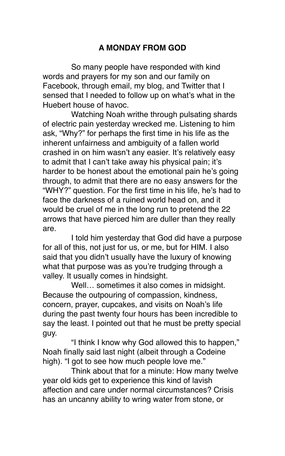# **A MONDAY FROM GOD**

So many people have responded with kind words and prayers for my son and our family on Facebook, through email, my blog, and Twitter that I sensed that I needed to follow up on what's what in the Huebert house of havoc.

Watching Noah writhe through pulsating shards of electric pain yesterday wrecked me. Listening to him ask, "Why?" for perhaps the first time in his life as the inherent unfairness and ambiguity of a fallen world crashed in on him wasn't any easier. It's relatively easy to admit that I can't take away his physical pain; it's harder to be honest about the emotional pain he's going through, to admit that there are no easy answers for the "WHY?" question. For the first time in his life, he's had to face the darkness of a ruined world head on, and it would be cruel of me in the long run to pretend the 22 arrows that have pierced him are duller than they really are.

I told him yesterday that God did have a purpose for all of this, not just for us, or me, but for HIM. I also said that you didn't usually have the luxury of knowing what that purpose was as you're trudging through a valley. It usually comes in hindsight.

Well... sometimes it also comes in midsight. Because the outpouring of compassion, kindness, concern, prayer, cupcakes, and visits on Noah's life during the past twenty four hours has been incredible to say the least. I pointed out that he must be pretty special guy.

"I think I know why God allowed this to happen," Noah finally said last night (albeit through a Codeine high). "I got to see how much people love me."

Think about that for a minute: How many twelve year old kids get to experience this kind of lavish affection and care under normal circumstances? Crisis has an uncanny ability to wring water from stone, or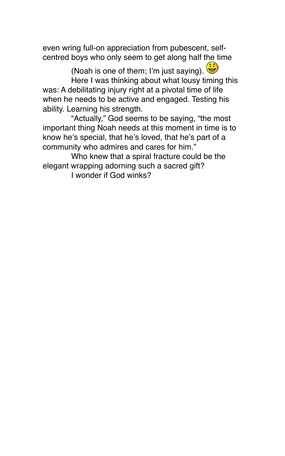even wring full-on appreciation from pubescent, selfcentred boys who only seem to get along half the time

(Noah is one of them; I'm just saying). Here I was thinking about what lousy timing this was: A debilitating injury right at a pivotal time of life when he needs to be active and engaged. Testing his ability. Learning his strength.

"Actually," God seems to be saying, "the most important thing Noah needs at this moment in time is to know he's special, that he's loved, that he's part of a community who admires and cares for him."

Who knew that a spiral fracture could be the elegant wrapping adorning such a sacred gift?

I wonder if God winks?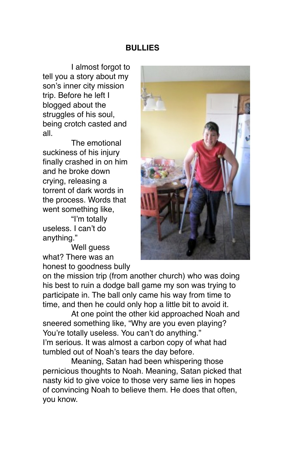### **BULLIES**

I almost forgot to tell you a story about my son's inner city mission trip. Before he left [I](http://bradhuebert.blogspot.com/2009/09/tears-for-fears.html)  [blogged about the](http://bradhuebert.blogspot.com/2009/09/tears-for-fears.html)  struggles of his soul. being crotch casted and all.

The emotional suckiness of his injury finally crashed in on him and he broke down crying, releasing a torrent of dark words in the process. Words that went something like,

"I'm totally useless. I can't do anything."

Well guess what? There was an honest to goodness bully



on the mission trip (from another church) who was doing his best to ruin a dodge ball game my son was trying to participate in. The ball only came his way from time to time, and then he could only hop a little bit to avoid it.

At one point the other kid approached Noah and sneered something like, "Why are you even playing? You're totally useless. You can't do anything." I'm serious. It was almost a carbon copy of what had tumbled out of Noah's tears the day before.

Meaning, Satan had been whispering those pernicious thoughts to Noah. Meaning, Satan picked that nasty kid to give voice to those very same lies in hopes of convincing Noah to believe them. He does that often, you know.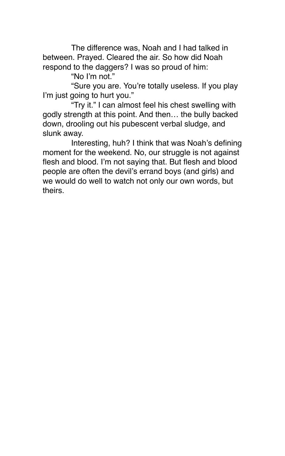The difference was, Noah and I had talked in between. Prayed. Cleared the air. So how did Noah respond to the daggers? I was so proud of him:

"No I'm not."

"Sure you are. You're totally useless. If you play I'm just going to hurt you."

"Try it." I can almost feel his chest swelling with godly strength at this point. And then… the bully backed down, drooling out his pubescent verbal sludge, and slunk away.

Interesting, huh? I think that was Noah's defining moment for the weekend. No, our struggle is not against flesh and blood. I'm not saying that. But flesh and blood people are often the devil's errand boys (and girls) and we would do well to watch not only our own words, but theirs.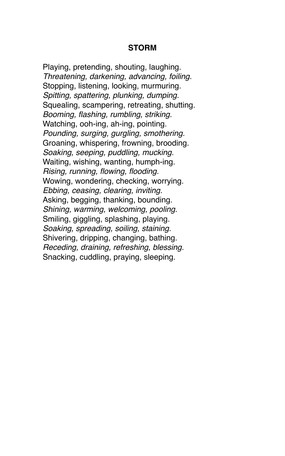#### **STORM**

Playing, pretending, shouting, laughing. *Threatening, darkening, advancing, foiling.* Stopping, listening, looking, murmuring. *Spitting, spattering, plunking, dumping.* Squealing, scampering, retreating, shutting. *Booming, flashing, rumbling, striking.* Watching, ooh-ing, ah-ing, pointing. *Pounding, surging, gurgling, smothering.* Groaning, whispering, frowning, brooding. *Soaking, seeping, puddling, mucking.* Waiting, wishing, wanting, humph-ing. *Rising, running, flowing, flooding.* Wowing, wondering, checking, worrying. *Ebbing, ceasing, clearing, inviting.* Asking, begging, thanking, bounding. *Shining, warming, welcoming, pooling.* Smiling, giggling, splashing, playing. *Soaking, spreading, soiling, staining.* Shivering, dripping, changing, bathing. *Receding, draining, refreshing, blessing.* Snacking, cuddling, praying, sleeping.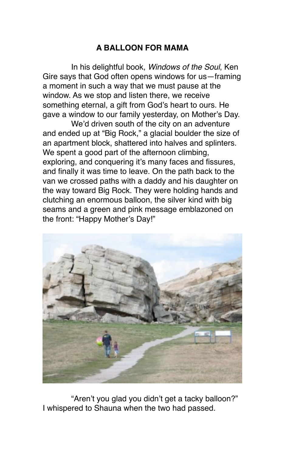# **A BALLOON FOR MAMA**

In his delightful book, *Windows of the Soul*, Ken Gire says that God often opens windows for us—framing a moment in such a way that we must pause at the window. As we stop and listen there, we receive something eternal, a gift from God's heart to ours. He gave a window to our family yesterday, on Mother's Day.

We'd driven south of the city on an adventure and ended up at "Big Rock," a glacial boulder the size of an apartment block, shattered into halves and splinters. We spent a good part of the afternoon climbing, exploring, and conquering it's many faces and fissures, and finally it was time to leave. On the path back to the van we crossed paths with a daddy and his daughter on the way toward Big Rock. They were holding hands and clutching an enormous balloon, the silver kind with big seams and a green and pink message emblazoned on the front: "Happy Mother's Day!"



"Aren't you glad you didn't get a tacky balloon?" I whispered to Shauna when the two had passed.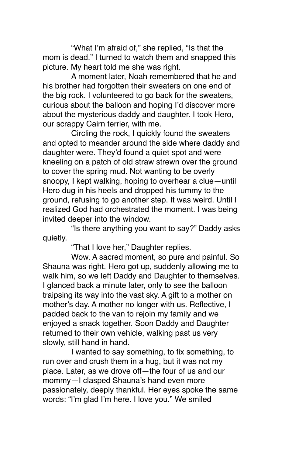"What I'm afraid of," she replied, "Is that the mom is dead." I turned to watch them and snapped this picture. My heart told me she was right.

A moment later, Noah remembered that he and his brother had forgotten their sweaters on one end of the big rock. I volunteered to go back for the sweaters, curious about the balloon and hoping I'd discover more about the mysterious daddy and daughter. I took Hero, our scrappy Cairn terrier, with me.

Circling the rock, I quickly found the sweaters and opted to meander around the side where daddy and daughter were. They'd found a quiet spot and were kneeling on a patch of old straw strewn over the ground to cover the spring mud. Not wanting to be overly snoopy, I kept walking, hoping to overhear a clue—until Hero dug in his heels and dropped his tummy to the ground, refusing to go another step. It was weird. Until I realized God had orchestrated the moment. I was being invited deeper into the window.

"Is there anything you want to say?" Daddy asks quietly.

"That I love her," Daughter replies.

Wow. A sacred moment, so pure and painful. So Shauna was right. Hero got up, suddenly allowing me to walk him, so we left Daddy and Daughter to themselves. I glanced back a minute later, only to see the balloon traipsing its way into the vast sky. A gift to a mother on mother's day. A mother no longer with us. Reflective, I padded back to the van to rejoin my family and we enjoyed a snack together. Soon Daddy and Daughter returned to their own vehicle, walking past us very slowly, still hand in hand.

I wanted to say something, to fix something, to run over and crush them in a hug, but it was not my place. Later, as we drove off—the four of us and our mommy—I clasped Shauna's hand even more passionately, deeply thankful. Her eyes spoke the same words: "I'm glad I'm here. I love you." We smiled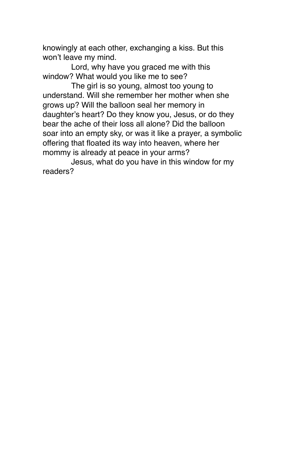knowingly at each other, exchanging a kiss. But this won't leave my mind.

Lord, why have you graced me with this window? What would you like me to see?

The girl is so young, almost too young to understand. Will she remember her mother when she grows up? Will the balloon seal her memory in daughter's heart? Do they know you, Jesus, or do they bear the ache of their loss all alone? Did the balloon soar into an empty sky, or was it like a prayer, a symbolic offering that floated its way into heaven, where her mommy is already at peace in your arms?

Jesus, what do you have in this window for my readers?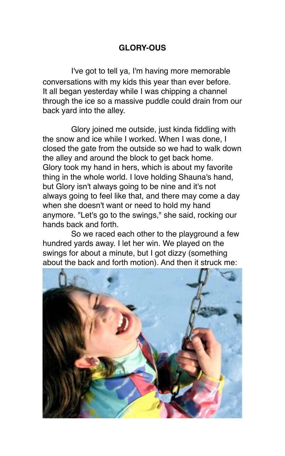# **GLORY-OUS**

I've got to tell ya, I'm having more memorable conversations with my kids this year than ever before. It all began yesterday while I was chipping a channel through the ice so a massive puddle could drain from our back yard into the alley.

Glory joined me outside, just kinda fiddling with the snow and ice while I worked. When I was done, I closed the gate from the outside so we had to walk down the alley and around the block to get back home. Glory took my hand in hers, which is about my favorite thing in the whole world. I love holding Shauna's hand, but Glory isn't always going to be nine and it's not always going to feel like that, and there may come a day when she doesn't want or need to hold my hand anymore. "Let's go to the swings," she said, rocking our hands back and forth.

So we raced each other to the playground a few hundred yards away. I let her win. We played on the swings for about a minute, but I got dizzy (something about the back and forth motion). And then it struck me:

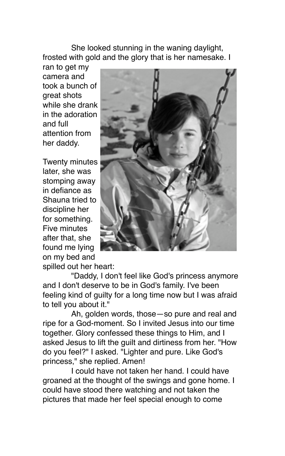She looked stunning in the waning daylight, frosted with gold and the glory that is her namesake. I

ran to get my camera and took a bunch of great shots while she drank in the adoration and full attention from her daddy.

Twenty minutes later, she was stomping away in defiance as Shauna tried to discipline her for something. Five minutes after that, she found me lying on my bed and



spilled out her heart:

"Daddy, I don't feel like God's princess anymore and I don't deserve to be in God's family. I've been feeling kind of guilty for a long time now but I was afraid to tell you about it."

Ah, golden words, those—so pure and real and ripe for a God-moment. So I invited Jesus into our time together. Glory confessed these things to Him, and I asked Jesus to lift the guilt and dirtiness from her. "How do you feel?" I asked. "Lighter and pure. Like God's princess," she replied. Amen!

I could have not taken her hand. I could have groaned at the thought of the swings and gone home. I could have stood there watching and not taken the pictures that made her feel special enough to come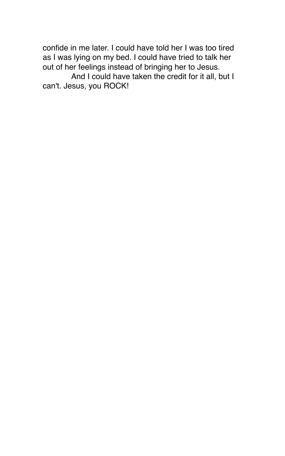confide in me later. I could have told her I was too tired as I was lying on my bed. I could have tried to talk her out of her feelings instead of bringing her to Jesus.

And I could have taken the credit for it all, but I can't. Jesus, you ROCK!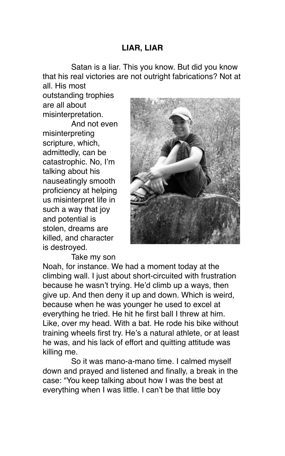### **LIAR, LIAR**

Satan is a liar. This you know. But did you know that his real victories are not outright fabrications? Not at all. His most

outstanding trophies are all about misinterpretation.

And not even misinterpreting scripture, which, admittedly, can be catastrophic. No, I'm talking about his nauseatingly smooth proficiency at helping us misinterpret life in such a way that joy and potential is stolen, dreams are killed, and character is destroyed.



Take my son

Noah, for instance. We had a moment today at the climbing wall. I just about short-circuited with frustration because he wasn't trying. He'd climb up a ways, then give up. And then deny it up and down. Which is weird, because when he was younger he used to excel at everything he tried. He hit he first ball I threw at him. Like, over my head. With a bat. He rode his bike without training wheels first try. He's a natural athlete, or at least he was, and his lack of effort and quitting attitude was killing me.

So it was mano-a-mano time. I calmed myself down and prayed and listened and finally, a break in the case: "You keep talking about how I was the best at everything when I was little. I can't be that little boy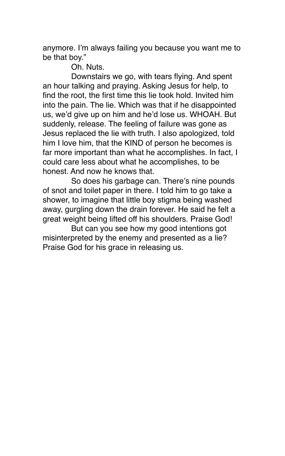anymore. I'm always failing you because you want me to be that boy."

Oh. Nuts.

Downstairs we go, with tears flying. And spent an hour talking and praying. Asking Jesus for help, to find the root, the first time this lie took hold. Invited him into the pain. The lie. Which was that if he disappointed us, we'd give up on him and he'd lose us. WHOAH. But suddenly, release. The feeling of failure was gone as Jesus replaced the lie with truth. I also apologized, told him I love him, that the KIND of person he becomes is far more important than what he accomplishes. In fact, I could care less about what he accomplishes, to be honest. And now he knows that.

So does his garbage can. There's nine pounds of snot and toilet paper in there. I told him to go take a shower, to imagine that little boy stigma being washed away, gurgling down the drain forever. He said he felt a great weight being lifted off his shoulders. Praise God!

But can you see how my good intentions got misinterpreted by the enemy and presented as a lie? Praise God for his grace in releasing us.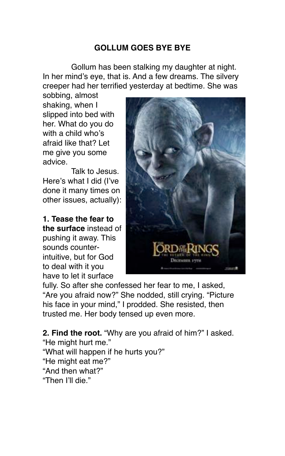## **GOLLUM GOES BYE BYE**

Gollum has been stalking my daughter at night. In her mind's eye, that is. And a few dreams. The silvery creeper had her terrified yesterday at bedtime. She was

sobbing, almost shaking, when I slipped into bed with her. What do you do with a child who's afraid like that? Let me give you some advice.

Talk to Jesus. Here's what I did (I've done it many times on other issues, actually):

**1. Tease the fear to the surface** instead of pushing it away. This sounds counterintuitive, but for God to deal with it you have to let it surface



fully. So after she confessed her fear to me, I asked. "Are you afraid now?" She nodded, still crying. "Picture his face in your mind," I prodded. She resisted, then trusted me. Her body tensed up even more.

**2. Find the root.** "Why are you afraid of him?" I asked. "He might hurt me." "What will happen if he hurts you?" "He might eat me?" "And then what?" "Then I'll die."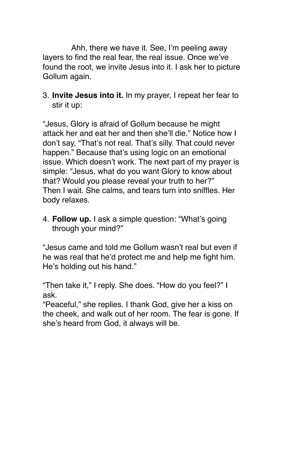Ahh, there we have it. See, I'm peeling away layers to find the real fear, the real issue. Once we've found the root, we invite Jesus into it. I ask her to picture Gollum again.

3. **Invite Jesus into it.** In my prayer, I repeat her fear to stir it up:

"Jesus, Glory is afraid of Gollum because he might attack her and eat her and then she'll die." Notice how I don't say, "That's not real. That's silly. That could never happen." Because that's using logic on an emotional issue. Which doesn't work. The next part of my prayer is simple: "Jesus, what do you want Glory to know about that? Would you please reveal your truth to her?" Then I wait. She calms, and tears turn into sniffles. Her body relaxes.

4. **Follow up.** I ask a simple question: "What's going through your mind?"

"Jesus came and told me Gollum wasn't real but even if he was real that he'd protect me and help me fight him. He's holding out his hand."

"Then take it," I reply. She does. "How do you feel?" I ask.

"Peaceful," she replies. I thank God, give her a kiss on the cheek, and walk out of her room. The fear is gone. If she's heard from God, it always will be.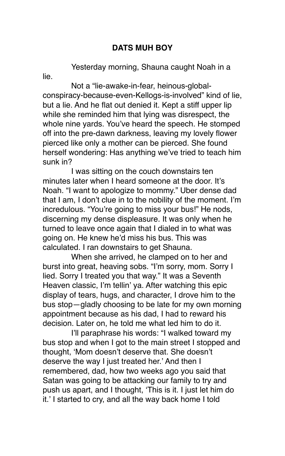## **DATS MUH BOY**

Yesterday morning, Shauna caught Noah in a

lie.

Not a "lie-awake-in-fear, heinous-globalconspiracy-because-even-Kellogs-is-involved" kind of lie, but a lie. And he flat out denied it. Kept a stiff upper lip while she reminded him that lying was disrespect, the whole nine yards. You've heard the speech. He stomped off into the pre-dawn darkness, leaving my lovely flower pierced like only a mother can be pierced. She found herself wondering: Has anything we've tried to teach him sunk in?

I was sitting on the couch downstairs ten minutes later when I heard someone at the door. It's Noah. "I want to apologize to mommy." Uber dense dad that I am, I don't clue in to the nobility of the moment. I'm incredulous. "You're going to miss your bus!" He nods, discerning my dense displeasure. It was only when he turned to leave once again that I dialed in to what was going on. He knew he'd miss his bus. This was calculated. I ran downstairs to get Shauna.

When she arrived, he clamped on to her and burst into great, heaving sobs. "I'm sorry, mom. Sorry I lied. Sorry I treated you that way." It was a Seventh Heaven classic, I'm tellin' ya. After watching this epic display of tears, hugs, and character, I drove him to the bus stop—gladly choosing to be late for my own morning appointment because as his dad, I had to reward his decision. Later on, he told me what led him to do it.

I'll paraphrase his words: "I walked toward my bus stop and when I got to the main street I stopped and thought, ʻMom doesn't deserve that. She doesn't deserve the way I just treated her.' And then I remembered, dad, how two weeks ago you said that Satan was going to be attacking our family to try and push us apart, and I thought, ʻThis is it. I just let him do it.' I started to cry, and all the way back home I told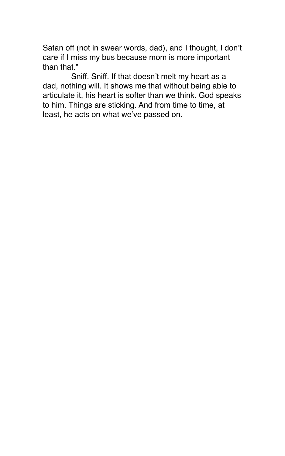Satan off (not in swear words, dad), and I thought, I don't care if I miss my bus because mom is more important than that."

Sniff. Sniff. If that doesn't melt my heart as a dad, nothing will. It shows me that without being able to articulate it, his heart is softer than we think. God speaks to him. Things are sticking. And from time to time, at least, he acts on what we've passed on.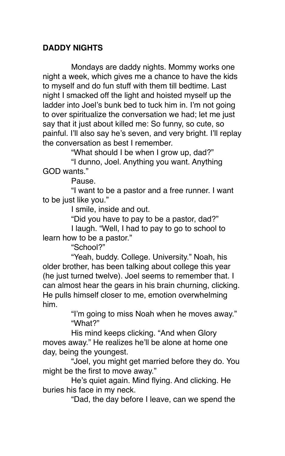### **DADDY NIGHTS**

Mondays are daddy nights. Mommy works one night a week, which gives me a chance to have the kids to myself and do fun stuff with them till bedtime. Last night I smacked off the light and hoisted myself up the ladder into Joel's bunk bed to tuck him in. I'm not going to over spiritualize the conversation we had; let me just say that it just about killed me: So funny, so cute, so painful. I'll also say he's seven, and very bright. I'll replay the conversation as best I remember.

"What should I be when I grow up, dad?"

"I dunno, Joel. Anything you want. Anything GOD wants."

Pause.

"I want to be a pastor and a free runner. I want to be just like you."

I smile, inside and out.

"Did you have to pay to be a pastor, dad?"

I laugh. "Well, I had to pay to go to school to learn how to be a pastor."

"School?"

"Yeah, buddy. College. University." Noah, his older brother, has been talking about college this year (he just turned twelve). Joel seems to remember that. I can almost hear the gears in his brain churning, clicking. He pulls himself closer to me, emotion overwhelming him.

> "I'm going to miss Noah when he moves away." "What?"

His mind keeps clicking. "And when Glory moves away." He realizes he'll be alone at home one day, being the youngest.

"Joel, you might get married before they do. You might be the first to move away."

He's quiet again. Mind flying. And clicking. He buries his face in my neck.

"Dad, the day before I leave, can we spend the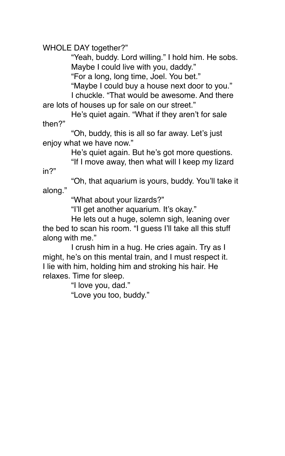WHOLE DAY together?"

"Yeah, buddy. Lord willing." I hold him. He sobs. Maybe I could live with you, daddy."

"For a long, long time, Joel. You bet."

"Maybe I could buy a house next door to you."

I chuckle. "That would be awesome. And there are lots of houses up for sale on our street."

He's quiet again. "What if they aren't for sale then?"

"Oh, buddy, this is all so far away. Let's just enjoy what we have now."

He's quiet again. But he's got more questions.

"If I move away, then what will I keep my lizard

in?"

"Oh, that aquarium is yours, buddy. You'll take it along."

"What about your lizards?"

"I'll get another aquarium. It's okay."

He lets out a huge, solemn sigh, leaning over the bed to scan his room. "I guess I'll take all this stuff along with me."

I crush him in a hug. He cries again. Try as I might, he's on this mental train, and I must respect it. I lie with him, holding him and stroking his hair. He relaxes. Time for sleep.

"I love you, dad."

"Love you too, buddy."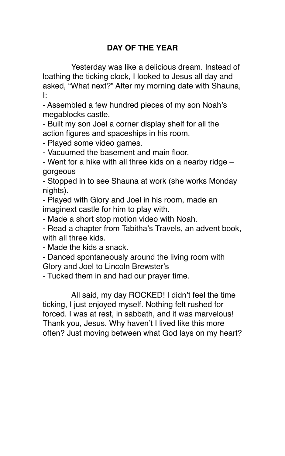# **DAY OF THE YEAR**

Yesterday was like a delicious dream. Instead of loathing the ticking clock, I looked to Jesus all day and asked, "What next?" After my morning date with Shauna, I:

- Assembled a few hundred pieces of my son Noah's megablocks castle.

- Built my son Joel a corner display shelf for all the action figures and spaceships in his room.

- Played some video games.

- Vacuumed the basement and main floor.

- Went for a hike with all three kids on a nearby ridge – gorgeous

- Stopped in to see Shauna at work (she works Monday nights).

- Played with Glory and Joel in his room, made an imaginext castle for him to play with.

- Made a short stop motion video with Noah.

- Read a chapter from Tabitha's Travels, an advent book, with all three kids.

- Made the kids a snack.

- Danced spontaneously around the living room with Glory and Joel to Lincoln Brewster's

- Tucked them in and had our prayer time.

All said, my day ROCKED! I didn't feel the time ticking, I just enjoyed myself. Nothing felt rushed for forced. I was at rest, in sabbath, and it was marvelous! Thank you, Jesus. Why haven't I lived like this more often? Just moving between what God lays on my heart?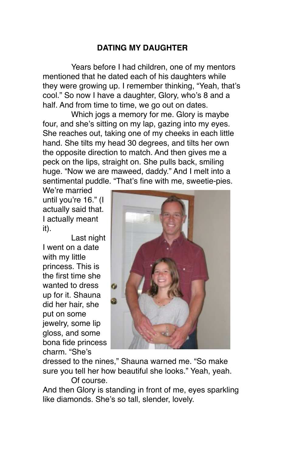# **DATING MY DAUGHTER**

Years before I had children, one of my mentors mentioned that he dated each of his daughters while they were growing up. I remember thinking, "Yeah, that's cool." So now I have a daughter, Glory, who's 8 and a half. And from time to time, we go out on dates.

Which jogs a memory for me. Glory is maybe four, and she's sitting on my lap, gazing into my eyes. She reaches out, taking one of my cheeks in each little hand. She tilts my head 30 degrees, and tilts her own the opposite direction to match. And then gives me a peck on the lips, straight on. She pulls back, smiling huge. "Now we are maweed, daddy." And I melt into a sentimental puddle. "That's fine with me, sweetie-pies.

We're married until you're 16." (I actually said that. I actually meant it).

Last night I went on a date with my little princess. This is the first time she wanted to dress up for it. Shauna did her hair, she put on some jewelry, some lip gloss, and some bona fide princess charm. "She's



dressed to the nines," Shauna warned me. "So make sure you tell her how beautiful she looks." Yeah, yeah.

Of course.

And then Glory is standing in front of me, eyes sparkling like diamonds. She's so tall, slender, lovely.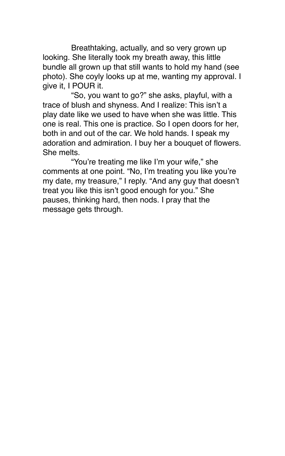Breathtaking, actually, and so very grown up looking. She literally took my breath away, this little bundle all grown up that still wants to hold my hand (see photo). She coyly looks up at me, wanting my approval. I give it, I POUR it.

"So, you want to go?" she asks, playful, with a trace of blush and shyness. And I realize: This isn't a play date like we used to have when she was little. This one is real. This one is practice. So I open doors for her, both in and out of the car. We hold hands. I speak my adoration and admiration. I buy her a bouquet of flowers. She melts.

"You're treating me like I'm your wife," she comments at one point. "No, I'm treating you like you're my date, my treasure," I reply. "And any guy that doesn't treat you like this isn't good enough for you." She pauses, thinking hard, then nods. I pray that the message gets through.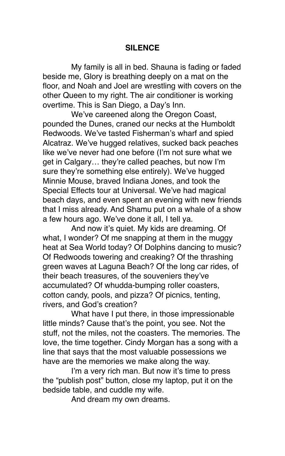### **SILENCE**

My family is all in bed. Shauna is fading or faded beside me, Glory is breathing deeply on a mat on the floor, and Noah and Joel are wrestling with covers on the other Queen to my right. The air conditioner is working overtime. This is San Diego, a Day's Inn.

We've careened along the Oregon Coast. pounded the Dunes, craned our necks at the Humboldt Redwoods. We've tasted Fisherman's wharf and spied Alcatraz. We've hugged relatives, sucked back peaches like we've never had one before (I'm not sure what we get in Calgary… they're called peaches, but now I'm sure they're something else entirely). We've hugged Minnie Mouse, braved Indiana Jones, and took the Special Effects tour at Universal. We've had magical beach days, and even spent an evening with new friends that I miss already. And Shamu put on a whale of a show a few hours ago. We've done it all, I tell ya.

And now it's quiet. My kids are dreaming. Of what. I wonder? Of me snapping at them in the muggy heat at Sea World today? Of Dolphins dancing to music? Of Redwoods towering and creaking? Of the thrashing green waves at Laguna Beach? Of the long car rides, of their beach treasures, of the souveniers they've accumulated? Of whudda-bumping roller coasters, cotton candy, pools, and pizza? Of picnics, tenting, rivers, and God's creation?

What have I put there, in those impressionable little minds? Cause that's the point, you see. Not the stuff, not the miles, not the coasters. The memories. The love, the time together. Cindy Morgan has a song with a line that says that the most valuable possessions we have are the memories we make along the way.

I'm a very rich man. But now it's time to press the "publish post" button, close my laptop, put it on the bedside table, and cuddle my wife.

And dream my own dreams.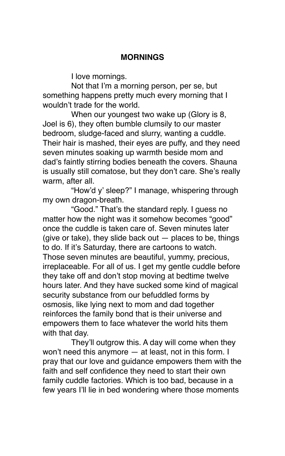### **MORNINGS**

I love mornings.

Not that I'm a morning person, per se, but something happens pretty much every morning that I wouldn't trade for the world.

When our youngest two wake up (Glory is 8, Joel is 6), they often bumble clumsily to our master bedroom, sludge-faced and slurry, wanting a cuddle. Their hair is mashed, their eyes are puffy, and they need seven minutes soaking up warmth beside mom and dad's faintly stirring bodies beneath the covers. Shauna is usually still comatose, but they don't care. She's really warm, after all.

"How'd y' sleep?" I manage, whispering through my own dragon-breath.

"Good." That's the standard reply. I guess no matter how the night was it somehow becomes "good" once the cuddle is taken care of. Seven minutes later (give or take), they slide back out  $-$  places to be, things to do. If it's Saturday, there are cartoons to watch. Those seven minutes are beautiful, yummy, precious, irreplaceable. For all of us. I get my gentle cuddle before they take off and don't stop moving at bedtime twelve hours later. And they have sucked some kind of magical security substance from our befuddled forms by osmosis, like lying next to mom and dad together reinforces the family bond that is their universe and empowers them to face whatever the world hits them with that day.

They'll outgrow this. A day will come when they won't need this anymore — at least, not in this form. I pray that our love and guidance empowers them with the faith and self confidence they need to start their own family cuddle factories. Which is too bad, because in a few years I'll lie in bed wondering where those moments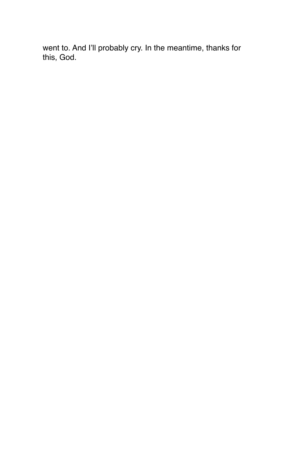went to. And I'll probably cry. In the meantime, thanks for this, God.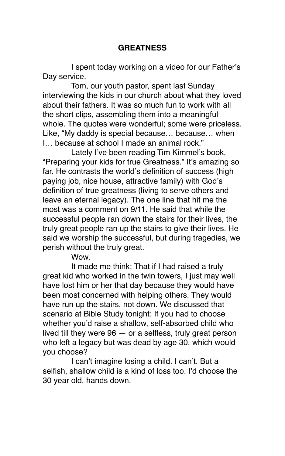### **GREATNESS**

I spent today working on a video for our Father's Day service.

Tom, our youth pastor, spent last Sunday interviewing the kids in our church about what they loved about their fathers. It was so much fun to work with all the short clips, assembling them into a meaningful whole. The quotes were wonderful; some were priceless. Like, "My daddy is special because… because… when I… because at school I made an animal rock."

Lately I've been reading Tim Kimmel's book, "Preparing your kids for true Greatness." It's amazing so far. He contrasts the world's definition of success (high paying job, nice house, attractive family) with God's definition of true greatness (living to serve others and leave an eternal legacy). The one line that hit me the most was a comment on 9/11. He said that while the successful people ran down the stairs for their lives, the truly great people ran up the stairs to give their lives. He said we worship the successful, but during tragedies, we perish without the truly great.

Wow.

It made me think: That if I had raised a truly great kid who worked in the twin towers, I just may well have lost him or her that day because they would have been most concerned with helping others. They would have run up the stairs, not down. We discussed that scenario at Bible Study tonight: If you had to choose whether you'd raise a shallow, self-absorbed child who lived till they were 96 — or a selfless, truly great person who left a legacy but was dead by age 30, which would you choose?

I can't imagine losing a child. I can't. But a selfish, shallow child is a kind of loss too. I'd choose the 30 year old, hands down.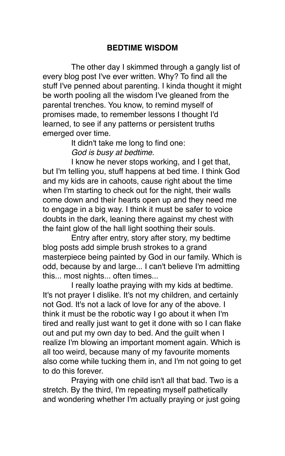### **BEDTIME WISDOM**

The other day I skimmed through a gangly list of every blog post I've ever written. Why? To find all the stuff I've penned about parenting. I kinda thought it might be worth pooling all the wisdom I've gleaned from the parental trenches. You know, to remind myself of promises made, to remember lessons I thought I'd learned, to see if any patterns or persistent truths emerged over time.

> It didn't take me long to find one: *God is busy at bedtime.*

I know he never stops working, and I get that, but I'm telling you, stuff happens at bed time. I think God and my kids are in cahoots, cause right about the time when I'm starting to check out for the night, their walls come down and their hearts open up and they need me to engage in a big way. I think it must be safer to voice doubts in the dark, leaning there against my chest with the faint glow of the hall light soothing their souls.

Entry after entry, story after story, my bedtime blog posts add simple brush strokes to a grand masterpiece being painted by God in our family. Which is odd, because by and large... I can't believe I'm admitting this... most nights... often times...

I really loathe praying with my kids at bedtime. It's not prayer I dislike. It's not my children, and certainly not God. It's not a lack of love for any of the above. I think it must be the robotic way I go about it when I'm tired and really just want to get it done with so I can flake out and put my own day to bed. And the guilt when I realize I'm blowing an important moment again. Which is all too weird, because many of my favourite moments also come while tucking them in, and I'm not going to get to do this forever.

Praying with one child isn't all that bad. Two is a stretch. By the third, I'm repeating myself pathetically and wondering whether I'm actually praying or just going